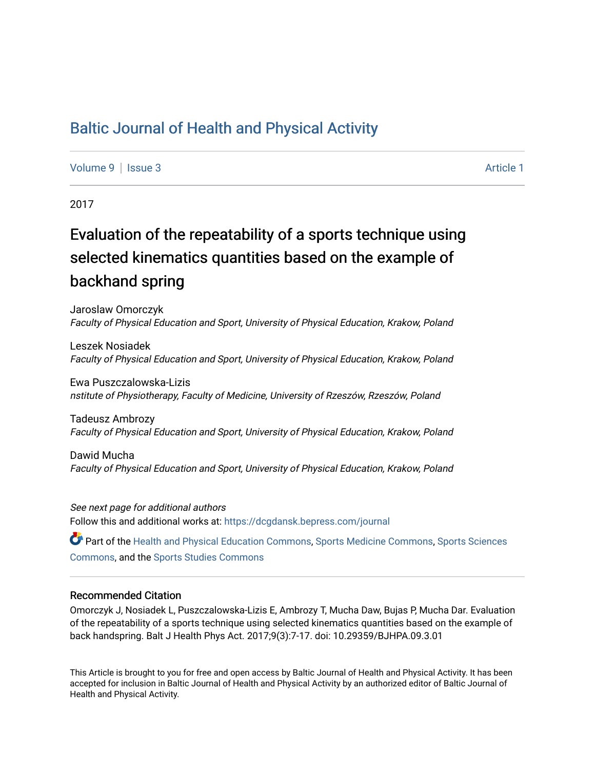## [Baltic Journal of Health and Physical Activity](https://dcgdansk.bepress.com/journal)

[Volume 9](https://dcgdansk.bepress.com/journal/vol9) | [Issue 3](https://dcgdansk.bepress.com/journal/vol9/iss3) Article 1

2017

# Evaluation of the repeatability of a sports technique using selected kinematics quantities based on the example of backhand spring

Jaroslaw Omorczyk Faculty of Physical Education and Sport, University of Physical Education, Krakow, Poland

Leszek Nosiadek Faculty of Physical Education and Sport, University of Physical Education, Krakow, Poland

Ewa Puszczalowska-Lizis nstitute of Physiotherapy, Faculty of Medicine, University of Rzeszów, Rzeszów, Poland

Tadeusz Ambrozy Faculty of Physical Education and Sport, University of Physical Education, Krakow, Poland

Dawid Mucha Faculty of Physical Education and Sport, University of Physical Education, Krakow, Poland

See next page for additional authors Follow this and additional works at: [https://dcgdansk.bepress.com/journal](https://dcgdansk.bepress.com/journal?utm_source=dcgdansk.bepress.com%2Fjournal%2Fvol9%2Fiss3%2F1&utm_medium=PDF&utm_campaign=PDFCoverPages)

Part of the [Health and Physical Education Commons](http://network.bepress.com/hgg/discipline/1327?utm_source=dcgdansk.bepress.com%2Fjournal%2Fvol9%2Fiss3%2F1&utm_medium=PDF&utm_campaign=PDFCoverPages), [Sports Medicine Commons,](http://network.bepress.com/hgg/discipline/1331?utm_source=dcgdansk.bepress.com%2Fjournal%2Fvol9%2Fiss3%2F1&utm_medium=PDF&utm_campaign=PDFCoverPages) [Sports Sciences](http://network.bepress.com/hgg/discipline/759?utm_source=dcgdansk.bepress.com%2Fjournal%2Fvol9%2Fiss3%2F1&utm_medium=PDF&utm_campaign=PDFCoverPages) [Commons](http://network.bepress.com/hgg/discipline/759?utm_source=dcgdansk.bepress.com%2Fjournal%2Fvol9%2Fiss3%2F1&utm_medium=PDF&utm_campaign=PDFCoverPages), and the [Sports Studies Commons](http://network.bepress.com/hgg/discipline/1198?utm_source=dcgdansk.bepress.com%2Fjournal%2Fvol9%2Fiss3%2F1&utm_medium=PDF&utm_campaign=PDFCoverPages) 

#### Recommended Citation

Omorczyk J, Nosiadek L, Puszczalowska-Lizis E, Ambrozy T, Mucha Daw, Bujas P, Mucha Dar. Evaluation of the repeatability of a sports technique using selected kinematics quantities based on the example of back handspring. Balt J Health Phys Act. 2017;9(3):7-17. doi: 10.29359/BJHPA.09.3.01

This Article is brought to you for free and open access by Baltic Journal of Health and Physical Activity. It has been accepted for inclusion in Baltic Journal of Health and Physical Activity by an authorized editor of Baltic Journal of Health and Physical Activity.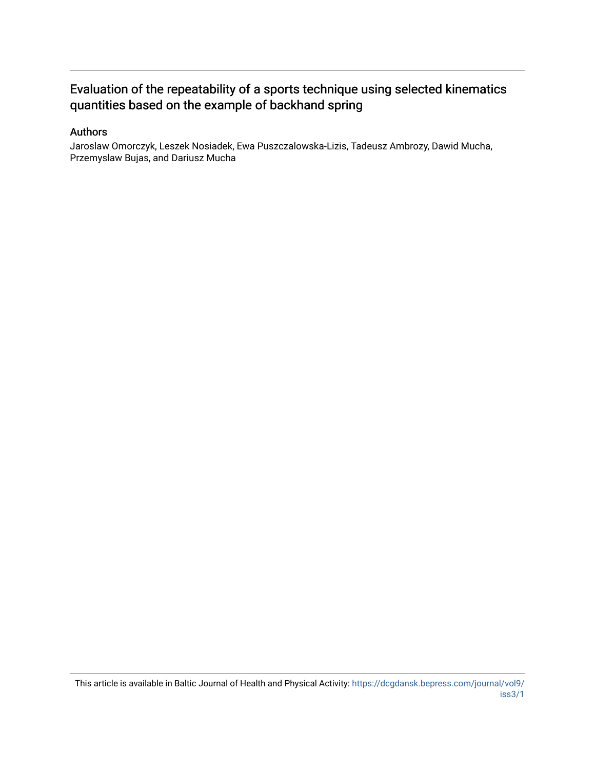## Evaluation of the repeatability of a sports technique using selected kinematics quantities based on the example of backhand spring

#### Authors

Jaroslaw Omorczyk, Leszek Nosiadek, Ewa Puszczalowska-Lizis, Tadeusz Ambrozy, Dawid Mucha, Przemyslaw Bujas, and Dariusz Mucha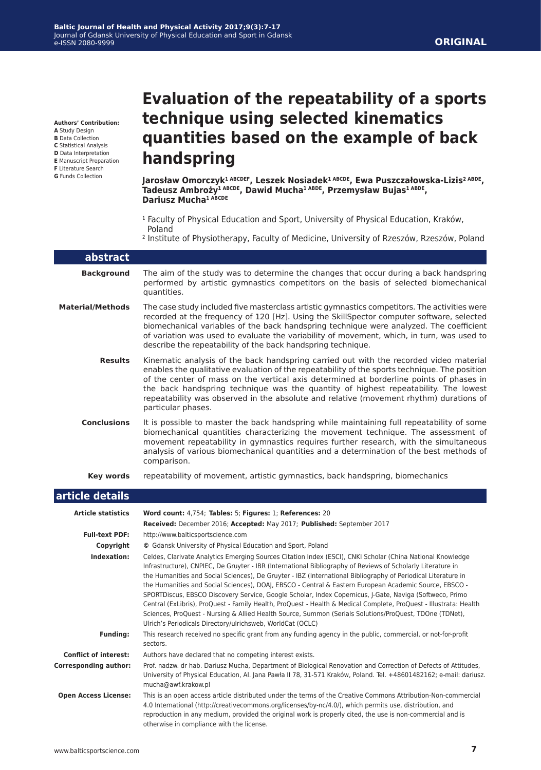#### **ORIGINAL**

**Authors' Contribution: A** Study Design

- **B** Data Collection
- **C** Statistical Analysis
- **D** Data Interpretation
- **E** Manuscript Preparation
- **F** Literature Search
- **G** Funds Collection

# **Evaluation of the repeatability of a sports technique using selected kinematics quantities based on the example of back handspring**

**Jarosław Omorczyk1 ABCDEF, Leszek Nosiadek1 ABCDE, Ewa Puszczałowska-Lizis2 ABDE, Tadeusz Ambroży1 ABCDE, Dawid Mucha1 ABDE, Przemysław Bujas1 ABDE, Dariusz Mucha1 ABCDE**

- <sup>1</sup> Faculty of Physical Education and Sport, University of Physical Education, Kraków, Poland
- 2 Institute of Physiotherapy, Faculty of Medicine, University of Rzeszów, Rzeszów, Poland

| abstract                |                                                                                                                                                                                                                                                                                                                                                                                                                                                                                           |
|-------------------------|-------------------------------------------------------------------------------------------------------------------------------------------------------------------------------------------------------------------------------------------------------------------------------------------------------------------------------------------------------------------------------------------------------------------------------------------------------------------------------------------|
| <b>Background</b>       | The aim of the study was to determine the changes that occur during a back handspring<br>performed by artistic gymnastics competitors on the basis of selected biomechanical<br>quantities.                                                                                                                                                                                                                                                                                               |
| <b>Material/Methods</b> | The case study included five masterclass artistic gymnastics competitors. The activities were<br>recorded at the frequency of 120 [Hz]. Using the SkillSpector computer software, selected<br>biomechanical variables of the back handspring technique were analyzed. The coefficient<br>of variation was used to evaluate the variability of movement, which, in turn, was used to<br>describe the repeatability of the back handspring technique.                                       |
| <b>Results</b>          | Kinematic analysis of the back handspring carried out with the recorded video material<br>enables the qualitative evaluation of the repeatability of the sports technique. The position<br>of the center of mass on the vertical axis determined at borderline points of phases in<br>the back handspring technique was the quantity of highest repeatability. The lowest<br>repeatability was observed in the absolute and relative (movement rhythm) durations of<br>particular phases. |
| <b>Conclusions</b>      | It is possible to master the back handspring while maintaining full repeatability of some<br>biomechanical quantities characterizing the movement technique. The assessment of<br>movement repeatability in gymnastics requires further research, with the simultaneous<br>analysis of various biomechanical quantities and a determination of the best methods of<br>comparison.                                                                                                         |
| Key words               | repeatability of movement, artistic gymnastics, back handspring, biomechanics                                                                                                                                                                                                                                                                                                                                                                                                             |

#### **article details Article statistics Word count:** 4,754; **Tables:** 5; **Figures:** 1; **References:** 20 **Received:** December 2016; **Accepted:** May 2017; **Published:** September 2017 **Full-text PDF:** http://www.balticsportscience.com **Copyright ©** Gdansk University of Physical Education and Sport, Poland **Indexation:** Celdes, Clarivate Analytics Emerging Sources Citation Index (ESCI), CNKI Scholar (China National Knowledge Infrastructure), CNPIEC, De Gruyter - IBR (International Bibliography of Reviews of Scholarly Literature in the Humanities and Social Sciences), De Gruyter - IBZ (International Bibliography of Periodical Literature in the Humanities and Social Sciences), DOAJ, EBSCO - Central & Eastern European Academic Source, EBSCO - SPORTDiscus, EBSCO Discovery Service, Google Scholar, Index Copernicus, J-Gate, Naviga (Softweco, Primo Central (ExLibris), ProQuest - Family Health, ProQuest - Health & Medical Complete, ProQuest - Illustrata: Health Sciences, ProQuest - Nursing & Allied Health Source, Summon (Serials Solutions/ProQuest, TDOne (TDNet), Ulrich's Periodicals Directory/ulrichsweb, WorldCat (OCLC) **Funding:** This research received no specific grant from any funding agency in the public, commercial, or not-for-profit sectors. **Conflict of interest:** Authors have declared that no competing interest exists. **Corresponding author:** Prof. nadzw. dr hab. Dariusz Mucha, Department of Biological Renovation and Correction of Defects of Attitudes, University of Physical Education, Al. Jana Pawła II 78, 31-571 Kraków, Poland. Tel. +48601482162; e-mail: dariusz. mucha@awf.krakow.pl  **Open Access License:** This is an open access article distributed under the terms of the Creative Commons Attribution-Non-commercial 4.0 International (http://creativecommons.org/licenses/by-nc/4.0/), which permits use, distribution, and reproduction in any medium, provided the original work is properly cited, the use is non-commercial and is otherwise in compliance with the license.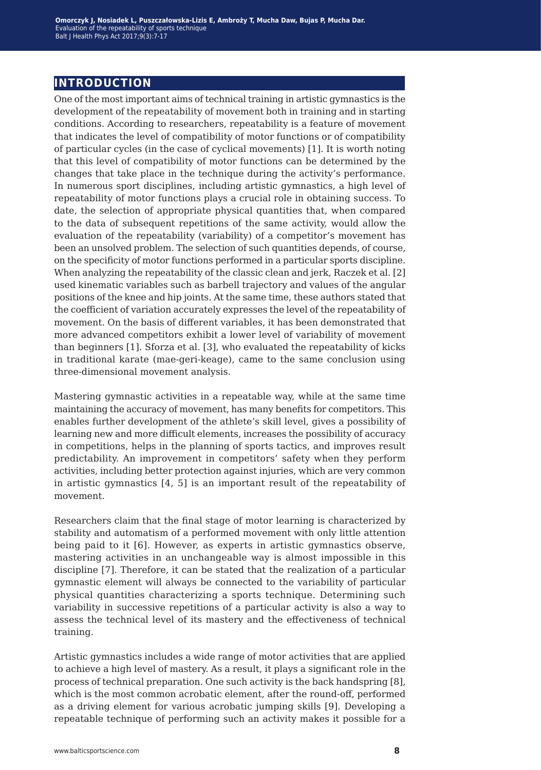## **introduction**

One of the most important aims of technical training in artistic gymnastics is the development of the repeatability of movement both in training and in starting conditions. According to researchers, repeatability is a feature of movement that indicates the level of compatibility of motor functions or of compatibility of particular cycles (in the case of cyclical movements) [1]. It is worth noting that this level of compatibility of motor functions can be determined by the changes that take place in the technique during the activity's performance. In numerous sport disciplines, including artistic gymnastics, a high level of repeatability of motor functions plays a crucial role in obtaining success. To date, the selection of appropriate physical quantities that, when compared to the data of subsequent repetitions of the same activity, would allow the evaluation of the repeatability (variability) of a competitor's movement has been an unsolved problem. The selection of such quantities depends, of course, on the specificity of motor functions performed in a particular sports discipline. When analyzing the repeatability of the classic clean and jerk, Raczek et al. [2] used kinematic variables such as barbell trajectory and values of the angular positions of the knee and hip joints. At the same time, these authors stated that the coefficient of variation accurately expresses the level of the repeatability of movement. On the basis of different variables, it has been demonstrated that more advanced competitors exhibit a lower level of variability of movement than beginners [1]. Sforza et al. [3], who evaluated the repeatability of kicks in traditional karate (mae-geri-keage), came to the same conclusion using three-dimensional movement analysis.

Mastering gymnastic activities in a repeatable way, while at the same time maintaining the accuracy of movement, has many benefits for competitors. This enables further development of the athlete's skill level, gives a possibility of learning new and more difficult elements, increases the possibility of accuracy in competitions, helps in the planning of sports tactics, and improves result predictability. An improvement in competitors' safety when they perform activities, including better protection against injuries, which are very common in artistic gymnastics [4, 5] is an important result of the repeatability of movement.

Researchers claim that the final stage of motor learning is characterized by stability and automatism of a performed movement with only little attention being paid to it [6]. However, as experts in artistic gymnastics observe, mastering activities in an unchangeable way is almost impossible in this discipline [7]. Therefore, it can be stated that the realization of a particular gymnastic element will always be connected to the variability of particular physical quantities characterizing a sports technique. Determining such variability in successive repetitions of a particular activity is also a way to assess the technical level of its mastery and the effectiveness of technical training.

Artistic gymnastics includes a wide range of motor activities that are applied to achieve a high level of mastery. As a result, it plays a significant role in the process of technical preparation. One such activity is the back handspring [8], which is the most common acrobatic element, after the round-off, performed as a driving element for various acrobatic jumping skills [9]. Developing a repeatable technique of performing such an activity makes it possible for a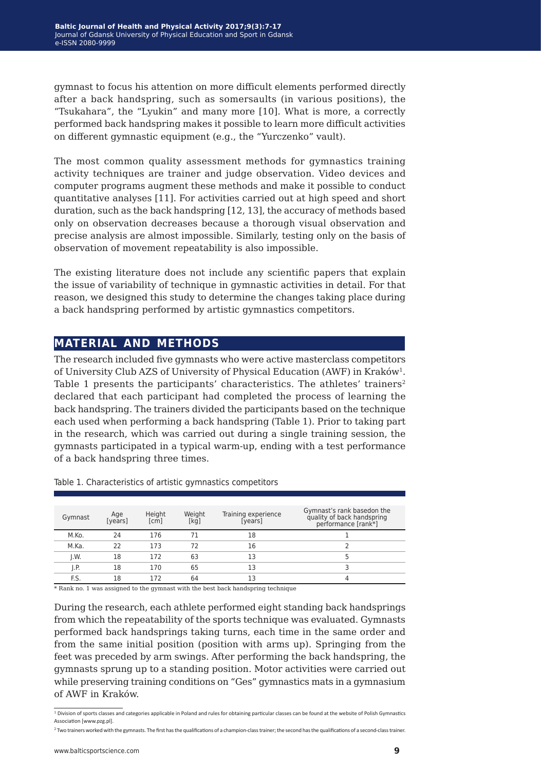gymnast to focus his attention on more difficult elements performed directly after a back handspring, such as somersaults (in various positions), the "Tsukahara", the "Lyukin" and many more [10]. What is more, a correctly performed back handspring makes it possible to learn more difficult activities on different gymnastic equipment (e.g., the "Yurczenko" vault).

The most common quality assessment methods for gymnastics training activity techniques are trainer and judge observation. Video devices and computer programs augment these methods and make it possible to conduct quantitative analyses [11]. For activities carried out at high speed and short duration, such as the back handspring [12, 13], the accuracy of methods based only on observation decreases because a thorough visual observation and precise analysis are almost impossible. Similarly, testing only on the basis of observation of movement repeatability is also impossible.

The existing literature does not include any scientific papers that explain the issue of variability of technique in gymnastic activities in detail. For that reason, we designed this study to determine the changes taking place during a back handspring performed by artistic gymnastics competitors.

## **material and methods**

The research included five gymnasts who were active masterclass competitors of University Club AZS of University of Physical Education (AWF) in Kraków1. Table 1 presents the participants' characteristics. The athletes' trainers<sup>2</sup> declared that each participant had completed the process of learning the back handspring. The trainers divided the participants based on the technique each used when performing a back handspring (Table 1). Prior to taking part in the research, which was carried out during a single training session, the gymnasts participated in a typical warm-up, ending with a test performance of a back handspring three times.

| Gymnast                 | Age<br>[years] | Height<br>[cm] | Weight<br>[kq] | Training experience<br>[years] | Gymnast's rank basedon the<br>quality of back handspring<br>performance [rank*] |
|-------------------------|----------------|----------------|----------------|--------------------------------|---------------------------------------------------------------------------------|
| M.Ko.                   | 24             | 176            |                | 18                             |                                                                                 |
| M.Ka.                   | 22             | 173            | 72             | 16                             |                                                                                 |
| J.W.                    | 18             | 172            | 63             | 13                             |                                                                                 |
| $\mathsf{I}.\mathsf{P}$ | 18             | 170            | 65             | 13                             |                                                                                 |
| F.S.                    | 18             | 172            | 64             | 13                             |                                                                                 |

Table 1. Characteristics of artistic gymnastics competitors

\* Rank no. 1 was assigned to the gymnast with the best back handspring technique

During the research, each athlete performed eight standing back handsprings from which the repeatability of the sports technique was evaluated. Gymnasts performed back handsprings taking turns, each time in the same order and from the same initial position (position with arms up). Springing from the feet was preceded by arm swings. After performing the back handspring, the gymnasts sprung up to a standing position. Motor activities were carried out while preserving training conditions on "Ges" gymnastics mats in a gymnasium of AWF in Kraków.

<sup>&</sup>lt;sup>1</sup> Division of sports classes and categories applicable in Poland and rules for obtaining particular classes can be found at the website of Polish Gymnastics Association [www.pzg.pl].

<sup>&</sup>lt;sup>2</sup> Two trainers worked with the gymnasts. The first has the qualifications of a champion-class trainer; the second has the qualifications of a second-class trainer.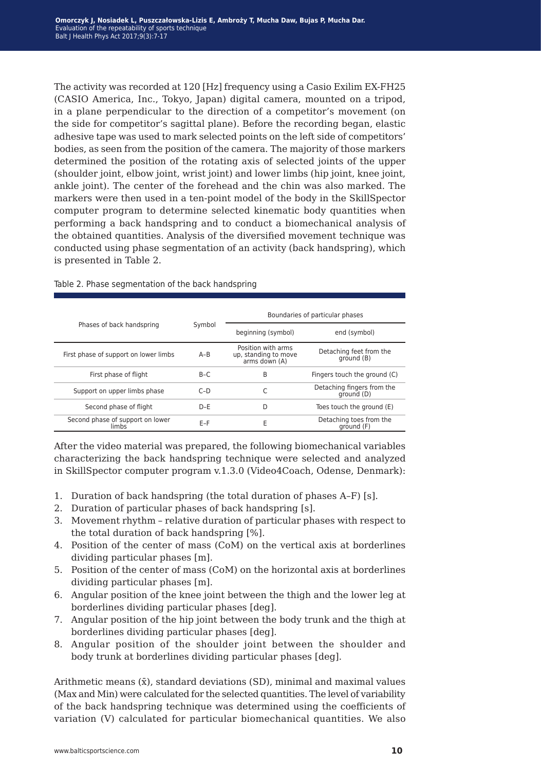The activity was recorded at 120 [Hz] frequency using a Casio Exilim EX-FH25 (CASIO America, Inc., Tokyo, Japan) digital camera, mounted on a tripod, in a plane perpendicular to the direction of a competitor's movement (on the side for competitor's sagittal plane). Before the recording began, elastic adhesive tape was used to mark selected points on the left side of competitors' bodies, as seen from the position of the camera. The majority of those markers determined the position of the rotating axis of selected joints of the upper (shoulder joint, elbow joint, wrist joint) and lower limbs (hip joint, knee joint, ankle joint). The center of the forehead and the chin was also marked. The markers were then used in a ten-point model of the body in the SkillSpector computer program to determine selected kinematic body quantities when performing a back handspring and to conduct a biomechanical analysis of the obtained quantities. Analysis of the diversified movement technique was conducted using phase segmentation of an activity (back handspring), which is presented in Table 2.

|                                           |         | Boundaries of particular phases                             |                                          |  |  |  |  |  |
|-------------------------------------------|---------|-------------------------------------------------------------|------------------------------------------|--|--|--|--|--|
| Phases of back handspring                 | Symbol  | beginning (symbol)                                          | end (symbol)                             |  |  |  |  |  |
| First phase of support on lower limbs     | $A-B$   | Position with arms<br>up, standing to move<br>arms down (A) | Detaching feet from the<br>ground (B)    |  |  |  |  |  |
| First phase of flight                     | $B-C$   | B                                                           | Fingers touch the ground (C)             |  |  |  |  |  |
| Support on upper limbs phase              | $C-D$   |                                                             | Detaching fingers from the<br>around (D) |  |  |  |  |  |
| Second phase of flight                    | $D - E$ | D                                                           | Toes touch the ground (E)                |  |  |  |  |  |
| Second phase of support on lower<br>limbs | $E-F$   | Ε                                                           | Detaching toes from the<br>around (F)    |  |  |  |  |  |

#### Table 2. Phase segmentation of the back handspring

After the video material was prepared, the following biomechanical variables characterizing the back handspring technique were selected and analyzed in SkillSpector computer program v.1.3.0 (Video4Coach, Odense, Denmark):

- 1. Duration of back handspring (the total duration of phases A–F) [s].
- 2. Duration of particular phases of back handspring [s].
- 3. Movement rhythm relative duration of particular phases with respect to the total duration of back handspring [%].
- 4. Position of the center of mass (CoM) on the vertical axis at borderlines dividing particular phases [m].
- 5. Position of the center of mass (CoM) on the horizontal axis at borderlines dividing particular phases [m].
- 6. Angular position of the knee joint between the thigh and the lower leg at borderlines dividing particular phases [deg].
- 7. Angular position of the hip joint between the body trunk and the thigh at borderlines dividing particular phases [deg].
- 8. Angular position of the shoulder joint between the shoulder and body trunk at borderlines dividing particular phases [deg].

Arithmetic means  $(\bar{x})$ , standard deviations (SD), minimal and maximal values (Max and Min) were calculated for the selected quantities. The level of variability of the back handspring technique was determined using the coefficients of variation (V) calculated for particular biomechanical quantities. We also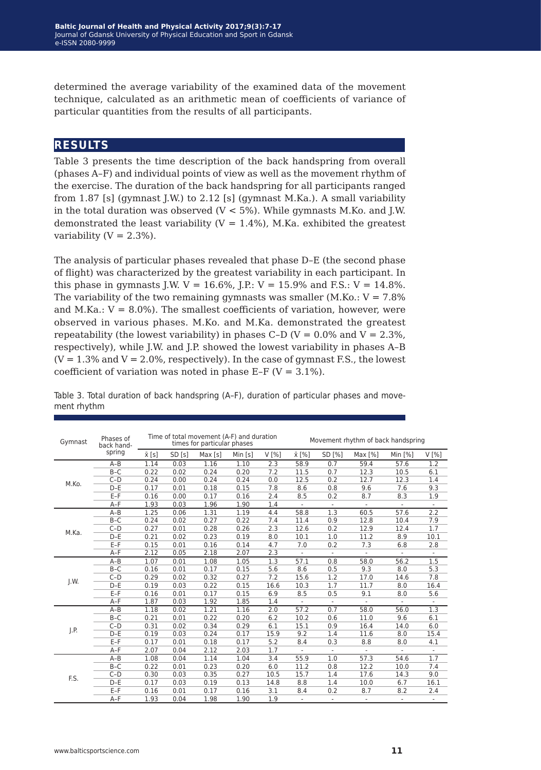determined the average variability of the examined data of the movement technique, calculated as an arithmetic mean of coefficients of variance of particular quantities from the results of all participants.

## **results**

Table 3 presents the time description of the back handspring from overall (phases A–F) and individual points of view as well as the movement rhythm of the exercise. The duration of the back handspring for all participants ranged from 1.87 [s] (gymnast J.W.) to 2.12 [s] (gymnast M.Ka.). A small variability in the total duration was observed ( $V < 5\%$ ). While gymnasts M.Ko. and J.W. demonstrated the least variability ( $V = 1.4\%$ ), M.Ka. exhibited the greatest variability  $(V = 2.3\%)$ .

The analysis of particular phases revealed that phase D–E (the second phase of flight) was characterized by the greatest variability in each participant. In this phase in gymnasts J.W.  $V = 16.6\%$ , J.P.:  $V = 15.9\%$  and F.S.:  $V = 14.8\%$ . The variability of the two remaining gymnasts was smaller  $(M.Ko.: V = 7.8\%)$ and M.Ka.:  $V = 8.0\%$ ). The smallest coefficients of variation, however, were observed in various phases. M.Ko. and M.Ka. demonstrated the greatest repeatability (the lowest variability) in phases C-D ( $V = 0.0\%$  and  $V = 2.3\%$ , respectively), while J.W. and J.P. showed the lowest variability in phases A–B  $(V = 1.3\%$  and  $V = 2.0\%$ , respectively). In the case of gymnast F.S., the lowest coefficient of variation was noted in phase E-F ( $V = 3.1\%$ ).

| Gymnast                                | Phases of<br>back hand- |               |       | Time of total movement (A-F) and duration<br>times for particular phases |         |      | Movement rhythm of back handspring |                          |                          |                          |                          |  |  |
|----------------------------------------|-------------------------|---------------|-------|--------------------------------------------------------------------------|---------|------|------------------------------------|--------------------------|--------------------------|--------------------------|--------------------------|--|--|
| M.Ko.<br>M.Ka.<br>J.W.<br>J.P.<br>F.S. | spring                  | $\bar{x}$ [s] | SD[s] | Max[s]                                                                   | Min [s] | V[%] | x [%]                              | SD [%]                   | Max [%]                  | Min $[%]$                | V[%]                     |  |  |
|                                        | $A-B$                   | 1.14          | 0.03  | 1.16                                                                     | 1.10    | 2.3  | 58.9                               | 0.7                      | 59.4                     | 57.6                     | 1.2                      |  |  |
|                                        | $B-C$                   | 0.22          | 0.02  | 0.24                                                                     | 0.20    | 7.2  | 11.5                               | 0.7                      | 12.3                     | 10.5                     | 6.1                      |  |  |
|                                        | $C-D$                   | 0.24          | 0.00  | 0.24                                                                     | 0.24    | 0.0  | 12.5                               | 0.2                      | 12.7                     | 12.3                     | 1.4                      |  |  |
|                                        | $D-E$                   | 0.17          | 0.01  | 0.18                                                                     | 0.15    | 7.8  | 8.6                                | 0.8                      | 9.6                      | 7.6                      | 9.3                      |  |  |
|                                        | $E-F$                   | 0.16          | 0.00  | 0.17                                                                     | 0.16    | 2.4  | 8.5                                | 0.2                      | 8.7                      | 8.3                      | 1.9                      |  |  |
|                                        | $A-F$                   | 1.93          | 0.03  | 1.96                                                                     | 1.90    | 1.4  | $\overline{\phantom{a}}$           | $\overline{\phantom{a}}$ | $\overline{\phantom{a}}$ | $\overline{\phantom{a}}$ | $\overline{\phantom{a}}$ |  |  |
|                                        | $A-B$                   | 1.25          | 0.06  | 1.31                                                                     | 1.19    | 4.4  | 58.8                               | 1.3                      | 60.5                     | 57.6                     | 2.2                      |  |  |
|                                        | $B-C$                   | 0.24          | 0.02  | 0.27                                                                     | 0.22    | 7.4  | 11.4                               | 0.9                      | 12.8                     | 10.4                     | 7.9                      |  |  |
|                                        | $C-D$                   | 0.27          | 0.01  | 0.28                                                                     | 0.26    | 2.3  | 12.6                               | 0.2                      | 12.9                     | 12.4                     | 1.7                      |  |  |
|                                        | $D-E$                   | 0.21          | 0.02  | 0.23                                                                     | 0.19    | 8.0  | 10.1                               | 1.0                      | 11.2                     | 8.9                      | 10.1                     |  |  |
|                                        | $E-F$                   | 0.15          | 0.01  | 0.16                                                                     | 0.14    | 4.7  | 7.0                                | 0.2                      | 7.3                      | 6.8                      | 2.8                      |  |  |
|                                        | $A-F$                   | 2.12          | 0.05  | 2.18                                                                     | 2.07    | 2.3  | $\sim$                             | $\overline{\phantom{a}}$ | $\overline{\phantom{a}}$ |                          |                          |  |  |
|                                        | $A - B$                 | 1.07          | 0.01  | 1.08                                                                     | 1.05    | 1.3  | 57.1                               | 0.8                      | 58.0                     | 56.2                     | 1.5                      |  |  |
|                                        | $B-C$                   | 0.16          | 0.01  | 0.17                                                                     | 0.15    | 5.6  | 8.6                                | 0.5                      | 9.3                      | 8.0                      | 5.3                      |  |  |
|                                        | $C-D$                   | 0.29          | 0.02  | 0.32                                                                     | 0.27    | 7.2  | 15.6                               | 1.2                      | 17.0                     | 14.6                     | 7.8                      |  |  |
|                                        | $D-E$                   | 0.19          | 0.03  | 0.22                                                                     | 0.15    | 16.6 | 10.3                               | 1.7                      | 11.7                     | 8.0                      | 16.4                     |  |  |
|                                        | $E-F$                   | 0.16          | 0.01  | 0.17                                                                     | 0.15    | 6.9  | 8.5                                | 0.5                      | 9.1                      | 8.0                      | 5.6                      |  |  |
|                                        | $A-F$                   | 1.87          | 0.03  | 1.92                                                                     | 1.85    | 1.4  |                                    |                          |                          |                          |                          |  |  |
|                                        | $A - B$                 | 1.18          | 0.02  | 1.21                                                                     | 1.16    | 2.0  | 57.2                               | 0.7                      | 58.0                     | 56.0                     | 1.3                      |  |  |
|                                        | $B-C$                   | 0.21          | 0.01  | 0.22                                                                     | 0.20    | 6.2  | 10.2                               | 0.6                      | 11.0                     | 9.6                      | 6.1                      |  |  |
|                                        | $C-D$                   | 0.31          | 0.02  | 0.34                                                                     | 0.29    | 6.1  | 15.1                               | 0.9                      | 16.4                     | 14.0                     | 6.0                      |  |  |
|                                        | $D-E$                   | 0.19          | 0.03  | 0.24                                                                     | 0.17    | 15.9 | 9.2                                | 1.4                      | 11.6                     | 8.0                      | 15.4                     |  |  |
|                                        | $E-F$                   | 0.17          | 0.01  | 0.18                                                                     | 0.17    | 5.2  | 8.4                                | 0.3                      | 8.8                      | 8.0                      | 4.1                      |  |  |
|                                        | $A-F$                   | 2.07          | 0.04  | 2.12                                                                     | 2.03    | 1.7  | $\sim$                             | $\omega$                 | ÷.                       | $\overline{\phantom{a}}$ | $\overline{\phantom{a}}$ |  |  |
|                                        | $A-B$                   | 1.08          | 0.04  | 1.14                                                                     | 1.04    | 3.4  | 55.9                               | 1.0                      | 57.3                     | 54.6                     | 1.7                      |  |  |
|                                        | $B-C$                   | 0.22          | 0.01  | 0.23                                                                     | 0.20    | 6.0  | 11.2                               | 0.8                      | 12.2                     | 10.0                     | 7.4                      |  |  |
|                                        | $C-D$                   | 0.30          | 0.03  | 0.35                                                                     | 0.27    | 10.5 | 15.7                               | 1.4                      | 17.6                     | 14.3                     | 9.0                      |  |  |
|                                        | $D-E$                   | 0.17          | 0.03  | 0.19                                                                     | 0.13    | 14.8 | 8.8                                | 1.4                      | 10.0                     | 6.7                      | 16.1                     |  |  |
|                                        | $E-F$                   | 0.16          | 0.01  | 0.17                                                                     | 0.16    | 3.1  | 8.4                                | 0.2                      | 8.7                      | 8.2                      | 2.4                      |  |  |
|                                        | $A-F$                   | 1.93          | 0.04  | 1.98                                                                     | 1.90    | 1.9  | $\blacksquare$                     | ٠                        | $\overline{\phantom{a}}$ | $\overline{\phantom{a}}$ | ٠                        |  |  |

Table 3. Total duration of back handspring (A–F), duration of particular phases and movement rhythm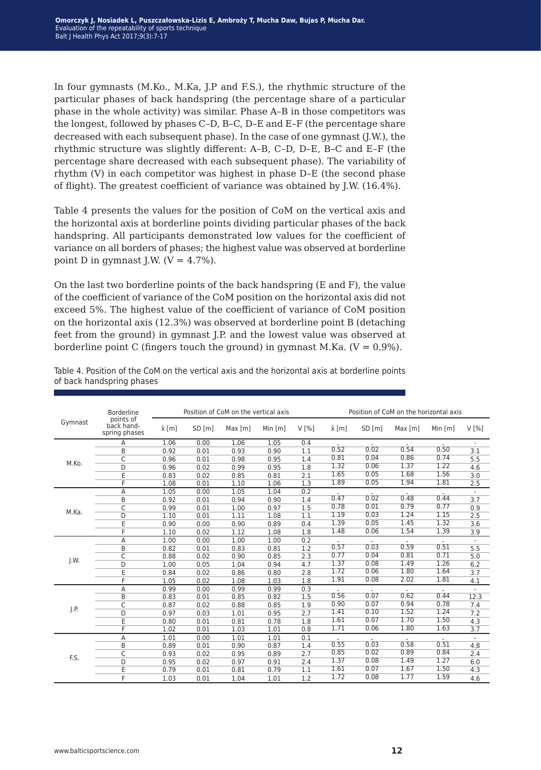In four gymnasts (M.Ko., M.Ka, J.P and F.S.), the rhythmic structure of the particular phases of back handspring (the percentage share of a particular phase in the whole activity) was similar. Phase A–B in those competitors was the longest, followed by phases C–D, B–C, D–E and E–F (the percentage share decreased with each subsequent phase). In the case of one gymnast (J.W.), the rhythmic structure was slightly different: A–B, C–D, D–E, B–C and E–F (the percentage share decreased with each subsequent phase). The variability of rhythm (V) in each competitor was highest in phase D–E (the second phase of flight). The greatest coefficient of variance was obtained by J.W. (16.4%).

Table 4 presents the values for the position of CoM on the vertical axis and the horizontal axis at borderline points dividing particular phases of the back handspring. All participants demonstrated low values for the coefficient of variance on all borders of phases; the highest value was observed at borderline point D in gymnast J.W.  $(V = 4.7\%).$ 

On the last two borderline points of the back handspring (E and F), the value of the coefficient of variance of the CoM position on the horizontal axis did not exceed 5%. The highest value of the coefficient of variance of CoM position on the horizontal axis (12.3%) was observed at borderline point B (detaching feet from the ground) in gymnast J.P. and the lowest value was observed at borderline point C (fingers touch the ground) in gymnast M.Ka. ( $V = 0.9\%$ ).

|         | <b>Borderline</b>                        |               |       | Position of CoM on the vertical axis |           |       | Position of CoM on the horizontal axis |       |        |           |      |  |
|---------|------------------------------------------|---------------|-------|--------------------------------------|-----------|-------|----------------------------------------|-------|--------|-----------|------|--|
| Gymnast | points of<br>back hand-<br>spring phases | $\bar{x}$ [m] | SD[m] | Max[m]                               | Min $[m]$ | V [%] | $\bar{x}$ [m]                          | SD[m] | Max[m] | Min $[m]$ | V[%] |  |
|         | Α                                        | 1.06          | 0.00  | 1.06                                 | 1.05      | 0.4   |                                        |       |        |           |      |  |
|         | B                                        | 0.92          | 0.01  | 0.93                                 | 0.90      | 1.1   | 0.52                                   | 0.02  | 0.54   | 0.50      | 3.1  |  |
|         | C                                        | 0.96          | 0.01  | 0.98                                 | 0.95      | 1.4   | 0.81                                   | 0.04  | 0.86   | 0.74      | 5.5  |  |
| M.Ko.   | D                                        | 0.96          | 0.02  | 0.99                                 | 0.95      | 1.8   | 1.32                                   | 0.06  | 1.37   | 1.22      | 4.6  |  |
|         | E                                        | 0.83          | 0.02  | 0.85                                 | 0.81      | 2.1   | 1.65                                   | 0.05  | 1.68   | 1.56      | 3.0  |  |
|         | F                                        | 1.08          | 0.01  | 1.10                                 | 1.06      | 1.3   | 1.89                                   | 0.05  | 1.94   | 1.81      | 2.5  |  |
|         | Α                                        | 1.05          | 0.00  | 1.05                                 | 1.04      | 0.2   |                                        |       |        |           |      |  |
|         | B                                        | 0.92          | 0.01  | 0.94                                 | 0.90      | 1.4   | 0.47                                   | 0.02  | 0.48   | 0.44      | 3.7  |  |
|         | C                                        | 0.99          | 0.01  | 1.00                                 | 0.97      | 1.5   | 0.78                                   | 0.01  | 0.79   | 0.77      | 0.9  |  |
| M.Ka.   | D                                        | 1.10          | 0.01  | 1.11                                 | 1.08      | 1.1   | 1.19                                   | 0.03  | 1.24   | 1.15      | 2.5  |  |
|         | E                                        | 0.90          | 0.00  | 0.90                                 | 0.89      | 0.4   | 1.39                                   | 0.05  | 1.45   | 1.32      | 3.6  |  |
|         | F                                        | 1.10          | 0.02  | 1.12                                 | 1.08      | 1.8   | 1.48                                   | 0.06  | 1.54   | 1.39      | 3.9  |  |
|         | Α                                        | 1.00          | 0.00  | 1.00                                 | 1.00      | 0.2   |                                        |       |        |           |      |  |
|         | B                                        | 0.82          | 0.01  | 0.83                                 | 0.81      | 1.2   | 0.57                                   | 0.03  | 0.59   | 0.51      | 5.5  |  |
|         | $\overline{\mathsf{C}}$                  | 0.88          | 0.02  | 0.90                                 | 0.85      | 2.3   | 0.77                                   | 0.04  | 0.81   | 0.71      | 5.0  |  |
| J.W.    | D                                        | 1.00          | 0.05  | 1.04                                 | 0.94      | 4.7   | 1.37                                   | 0.08  | 1.49   | 1.26      | 6.2  |  |
|         | E                                        | 0.84          | 0.02  | 0.86                                 | 0.80      | 2.8   | 1.72                                   | 0.06  | 1.80   | 1.64      | 3.7  |  |
|         | F                                        | 1.05          | 0.02  | 1.08                                 | 1.03      | 1.8   | 1.91                                   | 0.08  | 2.02   | 1.81      | 4.1  |  |
|         | A                                        | 0.99          | 0.00  | 0.99                                 | 0.99      | 0.3   |                                        |       |        |           |      |  |
|         | B                                        | 0.83          | 0.01  | 0.85                                 | 0.82      | 1.5   | 0.56                                   | 0.07  | 0.62   | 0.44      | 12.3 |  |
|         | C                                        | 0.87          | 0.02  | 0.88                                 | 0.85      | 1.9   | 0.90                                   | 0.07  | 0.94   | 0.78      | 7.4  |  |
| J.P.    | D                                        | 0.97          | 0.03  | 1.01                                 | 0.95      | 2.7   | 1.41                                   | 0.10  | 1.52   | 1.24      | 7.2  |  |
|         | E                                        | 0.80          | 0.01  | 0.81                                 | 0.78      | 1.8   | 1.61                                   | 0.07  | 1.70   | 1.50      | 4.3  |  |
|         | F                                        | 1.02          | 0.01  | 1.03                                 | 1.01      | 0.8   | 1.71                                   | 0.06  | 1.80   | 1.63      | 3.7  |  |
|         | A                                        | 1.01          | 0.00  | 1.01                                 | 1.01      | 0.1   |                                        |       |        |           |      |  |
|         | B                                        | 0.89          | 0.01  | 0.90                                 | 0.87      | 1.4   | 0.55                                   | 0.03  | 0.58   | 0.51      | 4.8  |  |
|         | C                                        | 0.93          | 0.02  | 0.95                                 | 0.89      | 2.7   | 0.85                                   | 0.02  | 0.89   | 0.84      | 2.4  |  |
|         | D                                        | 0.95          | 0.02  | 0.97                                 | 0.91      | 2.4   | 1.37                                   | 0.08  | 1.49   | 1.27      | 6.0  |  |
| F.S.    | E                                        | 0.79          | 0.01  | 0.81                                 | 0.79      | 1.1   | 1.61                                   | 0.07  | 1.67   | 1.50      | 4.3  |  |
|         | F                                        | 1.03          | 0.01  | 1.04                                 | 1.01      | 1.2   | 1.72                                   | 0.08  | 1.77   | 1.59      | 4.6  |  |

Table 4. Position of the CoM on the vertical axis and the horizontal axis at borderline points of back handspring phases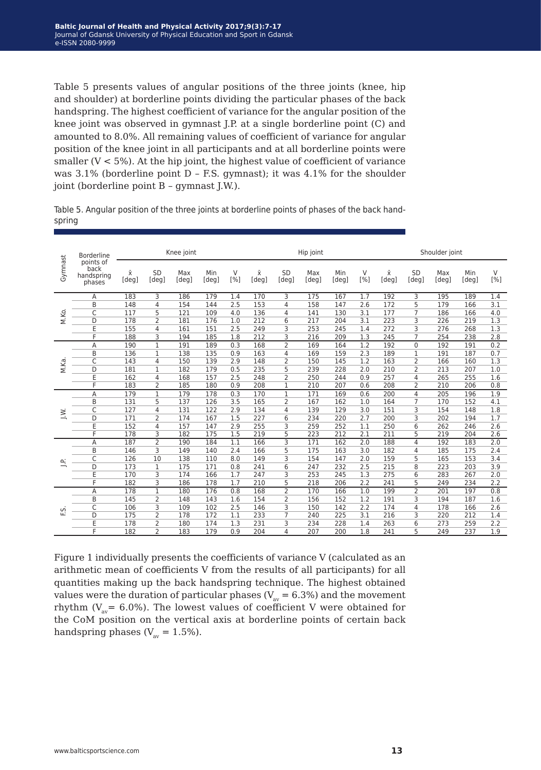Table 5 presents values of angular positions of the three joints (knee, hip and shoulder) at borderline points dividing the particular phases of the back handspring. The highest coefficient of variance for the angular position of the knee joint was observed in gymnast J.P. at a single borderline point (C) and amounted to 8.0%. All remaining values of coefficient of variance for angular position of the knee joint in all participants and at all borderline points were smaller  $(V < 5\%)$ . At the hip joint, the highest value of coefficient of variance was 3.1% (borderline point D – F.S. gymnast); it was 4.1% for the shoulder joint (borderline point B – gymnast J.W.).

|        |  |  |  | Table 5. Angular position of the three joints at borderline points of phases of the back hand- |  |  |  |
|--------|--|--|--|------------------------------------------------------------------------------------------------|--|--|--|
| spring |  |  |  |                                                                                                |  |  |  |

|          | <b>Borderline</b><br>points of |             | Knee joint         |              |              |          | Hip joint   |                    |              | Shoulder joint |          |                    |                    |              |              |               |
|----------|--------------------------------|-------------|--------------------|--------------|--------------|----------|-------------|--------------------|--------------|----------------|----------|--------------------|--------------------|--------------|--------------|---------------|
| Gymnast  | back<br>handspring<br>phases   | Χī<br>[deg] | <b>SD</b><br>[deg] | Max<br>[deg] | Min<br>[deg] | V<br>[%] | Χī<br>[deg] | <b>SD</b><br>[deg] | Max<br>[deg] | Min<br>[deg]   | V<br>[%] | $\bar{x}$<br>[deg] | <b>SD</b><br>[deg] | Max<br>[deg] | Min<br>[deg] | $\vee$<br>[%] |
|          | Α                              | 183         | 3                  | 186          | 179          | 1.4      | 170         | 3                  | 175          | 167            | 1.7      | 192                | 3                  | 195          | 189          | 1.4           |
|          | B                              | 148         | 4                  | 154          | 144          | 2.5      | 153         | 4                  | 158          | 147            | 2.6      | 172                | 5                  | 179          | 166          | 3.1           |
|          | $\overline{C}$                 | 117         | 5                  | 121          | 109          | 4.0      | 136         | 4                  | 141          | 130            | 3.1      | 177                | $\overline{7}$     | 186          | 166          | 4.0           |
| M.Ko.    | D                              | 178         | 2                  | 181          | 176          | 1.0      | 212         | 6                  | 217          | 204            | 3.1      | 223                | 3                  | 226          | 219          | 1.3           |
|          | E                              | 155         | 4                  | 161          | 151          | 2.5      | 249         | 3                  | 253          | 245            | 1.4      | 272                | 3                  | 276          | 268          | 1.3           |
|          | F                              | 188         | 3                  | 194          | 185          | 1.8      | 212         | 3                  | 216          | 209            | 1.3      | 245                | $\overline{7}$     | 254          | 238          | 2.8           |
|          | A                              | 190         | $\mathbf{1}$       | 191          | 189          | 0.3      | 168         | 2                  | 169          | 164            | 1.2      | 192                | $\mathbf 0$        | 192          | 191          | 0.2           |
|          | B                              | 136         | 1                  | 138          | 135          | 0.9      | 163         | 4                  | 169          | 159            | 2.3      | 189                | $\mathbf{1}$       | 191          | 187          | 0.7           |
|          | $\overline{C}$                 | 143         | 4                  | 150          | 139          | 2.9      | 148         | 2                  | 150          | 145            | 1.2      | 163                | $\overline{2}$     | 166          | 160          | 1.3           |
| M.Ka.    | D                              | 181         | 1                  | 182          | 179          | 0.5      | 235         | 5                  | 239          | 228            | 2.0      | 210                | $\overline{2}$     | 213          | 207          | 1.0           |
|          | Ė                              | 162         | 4                  | 168          | 157          | 2.5      | 248         | $\overline{2}$     | 250          | 244            | 0.9      | 257                | $\overline{4}$     | 265          | 255          | 1.6           |
|          | F                              | 183         | 2                  | 185          | 180          | 0.9      | 208         | 1                  | 210          | 207            | 0.6      | 208                | 2                  | 210          | 206          | 0.8           |
|          | A                              | 179         | 1                  | 179          | 178          | 0.3      | 170         | 1                  | 171          | 169            | 0.6      | 200                | 4                  | 205          | 196          | 1.9           |
|          | B                              | 131         | 5                  | 137          | 126          | 3.5      | 165         | 2                  | 167          | 162            | 1.0      | 164                | $\overline{7}$     | 170          | 152          | 4.1           |
|          | C                              | 127         | 4                  | 131          | 122          | 2.9      | 134         | 4                  | 139          | 129            | 3.0      | 151                | 3                  | 154          | 148          | 1.8           |
| J.W.     | D                              | 171         | 2                  | 174          | 167          | 1.5      | 227         | 6                  | 234          | 220            | 2.7      | 200                | 3                  | 202          | 194          | 1.7           |
|          | E                              | 152         | 4                  | 157          | 147          | 2.9      | 255         | 3                  | 259          | 252            | 1.1      | 250                | 6                  | 262          | 246          | 2.6           |
|          | F                              | 178         | 3                  | 182          | 175          | 1.5      | 219         | 5                  | 223          | 212            | 2.1      | 211                | 5                  | 219          | 204          | 2.6           |
|          | Α                              | 187         | 2                  | 190          | 184          | 1.1      | 166         | 3                  | 171          | 162            | 2.0      | 188                | 4                  | 192          | 183          | 2.0           |
|          | B                              | 146         | 3                  | 149          | 140          | 2.4      | 166         | 5                  | 175          | 163            | 3.0      | 182                | 4                  | 185          | 175          | 2.4           |
|          | C                              | 126         | 10                 | 138          | 110          | 8.0      | 149         | 3                  | 154          | 147            | 2.0      | 159                | 5                  | 165          | 153          | 3.4           |
|          | D                              | 173         | $\mathbf{1}$       | 175          | 171          | 0.8      | 241         | 6                  | 247          | 232            | 2.5      | 215                | 8                  | 223          | 203          | 3.9           |
|          | E                              | 170         | 3                  | 174          | 166          | 1.7      | 247         | 3                  | 253          | 245            | 1.3      | 275                | 6                  | 283          | 267          | 2.0           |
|          | F                              | 182         | 3                  | 186          | 178          | 1.7      | 210         | 5                  | 218          | 206            | 2.2      | 241                | 5                  | 249          | 234          | 2.2           |
|          | Α                              | 178         | $\mathbf{1}$       | 180          | 176          | 0.8      | 168         | $\overline{2}$     | 170          | 166            | 1.0      | 199                | $\overline{2}$     | 201          | 197          | 0.8           |
|          | B                              | 145         | 2                  | 148          | 143          | 1.6      | 154         | 2                  | 156          | 152            | 1.2      | 191                | 3                  | 194          | 187          | 1.6           |
|          | C                              | 106         | 3                  | 109          | 102          | 2.5      | 146         | 3                  | 150          | 142            | 2.2      | 174                | 4                  | 178          | 166          | 2.6           |
| 鸟<br>ΕŚ. | D                              | 175         | 2                  | 178          | 172          | 1.1      | 233         | 7                  | 240          | 225            | 3.1      | 216                | 3                  | 220          | 212          | 1.4           |
|          | E                              | 178         | 2                  | 180          | 174          | 1.3      | 231         | 3                  | 234          | 228            | 1.4      | 263                | 6                  | 273          | 259          | 2.2           |
|          | F                              | 182         | 2                  | 183          | 179          | 0.9      | 204         | 4                  | 207          | 200            | 1.8      | 241                | 5                  | 249          | 237          | 1.9           |

Figure 1 individually presents the coefficients of variance V (calculated as an arithmetic mean of coefficients V from the results of all participants) for all quantities making up the back handspring technique. The highest obtained values were the duration of particular phases ( $V_{av} = 6.3\%$ ) and the movement rhythm ( $V_{av}$  = 6.0%). The lowest values of coefficient V were obtained for the CoM position on the vertical axis at borderline points of certain back handspring phases ( $V_{av} = 1.5\%$ ).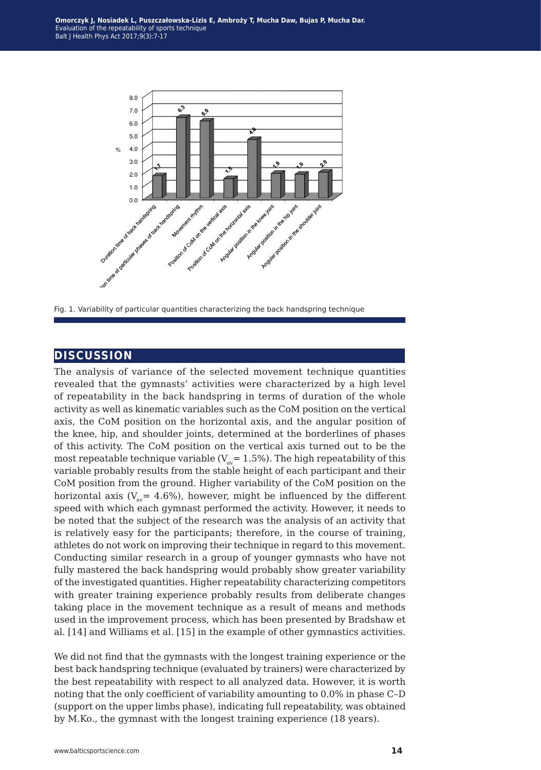

Fig. 1. Variability of particular quantities characterizing the back handspring technique

## **discussion**

The analysis of variance of the selected movement technique quantities revealed that the gymnasts' activities were characterized by a high level of repeatability in the back handspring in terms of duration of the whole activity as well as kinematic variables such as the CoM position on the vertical axis, the CoM position on the horizontal axis, and the angular position of the knee, hip, and shoulder joints, determined at the borderlines of phases of this activity. The CoM position on the vertical axis turned out to be the most repeatable technique variable ( $V_{av}$ = 1.5%). The high repeatability of this variable probably results from the stable height of each participant and their CoM position from the ground. Higher variability of the CoM position on the horizontal axis ( $V_{av}$  = 4.6%), however, might be influenced by the different speed with which each gymnast performed the activity. However, it needs to be noted that the subject of the research was the analysis of an activity that is relatively easy for the participants; therefore, in the course of training, athletes do not work on improving their technique in regard to this movement. Conducting similar research in a group of younger gymnasts who have not fully mastered the back handspring would probably show greater variability of the investigated quantities. Higher repeatability characterizing competitors with greater training experience probably results from deliberate changes taking place in the movement technique as a result of means and methods used in the improvement process, which has been presented by Bradshaw et al. [14] and Williams et al. [15] in the example of other gymnastics activities.

We did not find that the gymnasts with the longest training experience or the best back handspring technique (evaluated by trainers) were characterized by the best repeatability with respect to all analyzed data. However, it is worth noting that the only coefficient of variability amounting to 0.0% in phase C–D (support on the upper limbs phase), indicating full repeatability, was obtained by M.Ko., the gymnast with the longest training experience (18 years).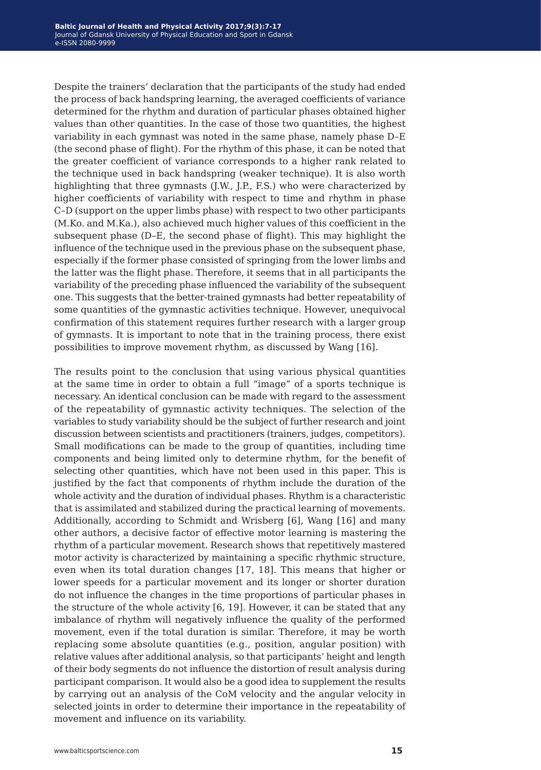Despite the trainers' declaration that the participants of the study had ended the process of back handspring learning, the averaged coefficients of variance determined for the rhythm and duration of particular phases obtained higher values than other quantities. In the case of those two quantities, the highest variability in each gymnast was noted in the same phase, namely phase D–E (the second phase of flight). For the rhythm of this phase, it can be noted that the greater coefficient of variance corresponds to a higher rank related to the technique used in back handspring (weaker technique). It is also worth highlighting that three gymnasts (J.W., J.P., F.S.) who were characterized by higher coefficients of variability with respect to time and rhythm in phase C–D (support on the upper limbs phase) with respect to two other participants (M.Ko. and M.Ka.), also achieved much higher values of this coefficient in the subsequent phase (D–E, the second phase of flight). This may highlight the influence of the technique used in the previous phase on the subsequent phase, especially if the former phase consisted of springing from the lower limbs and the latter was the flight phase. Therefore, it seems that in all participants the variability of the preceding phase influenced the variability of the subsequent one. This suggests that the better-trained gymnasts had better repeatability of some quantities of the gymnastic activities technique. However, unequivocal confirmation of this statement requires further research with a larger group of gymnasts. It is important to note that in the training process, there exist possibilities to improve movement rhythm, as discussed by Wang [16].

The results point to the conclusion that using various physical quantities at the same time in order to obtain a full "image" of a sports technique is necessary. An identical conclusion can be made with regard to the assessment of the repeatability of gymnastic activity techniques. The selection of the variables to study variability should be the subject of further research and joint discussion between scientists and practitioners (trainers, judges, competitors). Small modifications can be made to the group of quantities, including time components and being limited only to determine rhythm, for the benefit of selecting other quantities, which have not been used in this paper. This is justified by the fact that components of rhythm include the duration of the whole activity and the duration of individual phases. Rhythm is a characteristic that is assimilated and stabilized during the practical learning of movements. Additionally, according to Schmidt and Wrisberg [6], Wang [16] and many other authors, a decisive factor of effective motor learning is mastering the rhythm of a particular movement. Research shows that repetitively mastered motor activity is characterized by maintaining a specific rhythmic structure, even when its total duration changes [17, 18]. This means that higher or lower speeds for a particular movement and its longer or shorter duration do not influence the changes in the time proportions of particular phases in the structure of the whole activity [6, 19]. However, it can be stated that any imbalance of rhythm will negatively influence the quality of the performed movement, even if the total duration is similar. Therefore, it may be worth replacing some absolute quantities (e.g., position, angular position) with relative values after additional analysis, so that participants' height and length of their body segments do not influence the distortion of result analysis during participant comparison. It would also be a good idea to supplement the results by carrying out an analysis of the CoM velocity and the angular velocity in selected joints in order to determine their importance in the repeatability of movement and influence on its variability.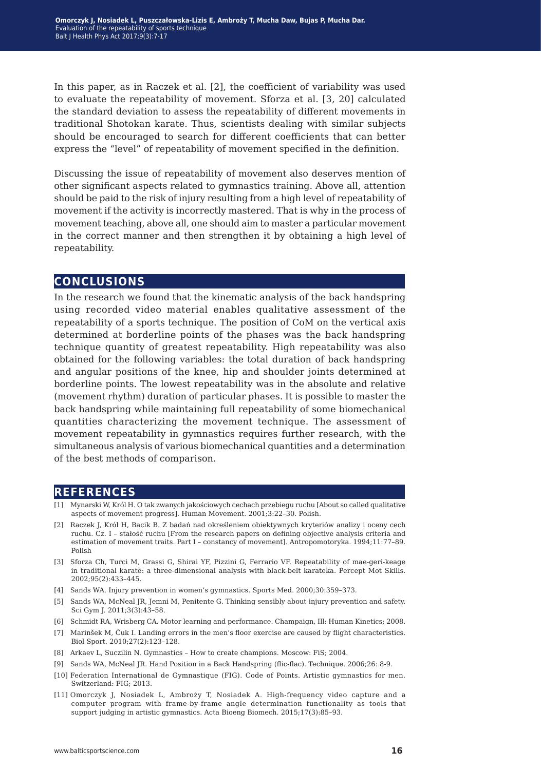In this paper, as in Raczek et al. [2], the coefficient of variability was used to evaluate the repeatability of movement. Sforza et al. [3, 20] calculated the standard deviation to assess the repeatability of different movements in traditional Shotokan karate. Thus, scientists dealing with similar subjects should be encouraged to search for different coefficients that can better express the "level" of repeatability of movement specified in the definition.

Discussing the issue of repeatability of movement also deserves mention of other significant aspects related to gymnastics training. Above all, attention should be paid to the risk of injury resulting from a high level of repeatability of movement if the activity is incorrectly mastered. That is why in the process of movement teaching, above all, one should aim to master a particular movement in the correct manner and then strengthen it by obtaining a high level of repeatability.

### **conclusions**

In the research we found that the kinematic analysis of the back handspring using recorded video material enables qualitative assessment of the repeatability of a sports technique. The position of CoM on the vertical axis determined at borderline points of the phases was the back handspring technique quantity of greatest repeatability. High repeatability was also obtained for the following variables: the total duration of back handspring and angular positions of the knee, hip and shoulder joints determined at borderline points. The lowest repeatability was in the absolute and relative (movement rhythm) duration of particular phases. It is possible to master the back handspring while maintaining full repeatability of some biomechanical quantities characterizing the movement technique. The assessment of movement repeatability in gymnastics requires further research, with the simultaneous analysis of various biomechanical quantities and a determination of the best methods of comparison.

#### **references**

- [1] Mynarski W, Król H. O tak zwanych jakościowych cechach przebiegu ruchu [About so called qualitative aspects of movement progress]. Human Movement. 2001;3:22–30. Polish.
- [2] Raczek J, Król H, Bacik B. Z badań nad określeniem obiektywnych kryteriów analizy i oceny cech ruchu. Cz. I – stałość ruchu [From the research papers on defining objective analysis criteria and estimation of movement traits. Part I – constancy of movement]. Antropomotoryka. 1994;11:77–89. Polish
- [3] Sforza Ch, Turci M, Grassi G, Shirai YF, Pizzini G, Ferrario VF. Repeatability of mae-geri-keage in traditional karate: a three-dimensional analysis with black-belt karateka. Percept Mot Skills. 2002;95(2):433–445.
- [4] Sands WA. Injury prevention in women's gymnastics. Sports Med. 2000;30:359–373.
- [5] Sands WA, McNeal JR, Jemni M, Penitente G. Thinking sensibly about injury prevention and safety. Sci Gym J. 2011;3(3):43–58.
- [6] Schmidt RA, Wrisberg CA. Motor learning and performance. Champaign, Ill: Human Kinetics; 2008.
- [7] Marinšek M, Čuk I. Landing errors in the men's floor exercise are caused by flight characteristics. Biol Sport. 2010;27(2):123–128.
- [8] Arkaev L, Suczilin N. Gymnastics How to create champions. Moscow: FiS; 2004.
- [9] Sands WA, McNeal JR. Hand Position in a Back Handspring (flic-flac). Technique. 2006;26: 8-9.
- [10] Federation International de Gymnastique (FIG). Code of Points. Artistic gymnastics for men. Switzerland: FIG; 2013.
- [11] Omorczyk J, Nosiadek L, Ambroży T, Nosiadek A. High-frequency video capture and a computer program with frame-by-frame angle determination functionality as tools that support judging in artistic gymnastics. Acta Bioeng Biomech. 2015;17(3):85–93.